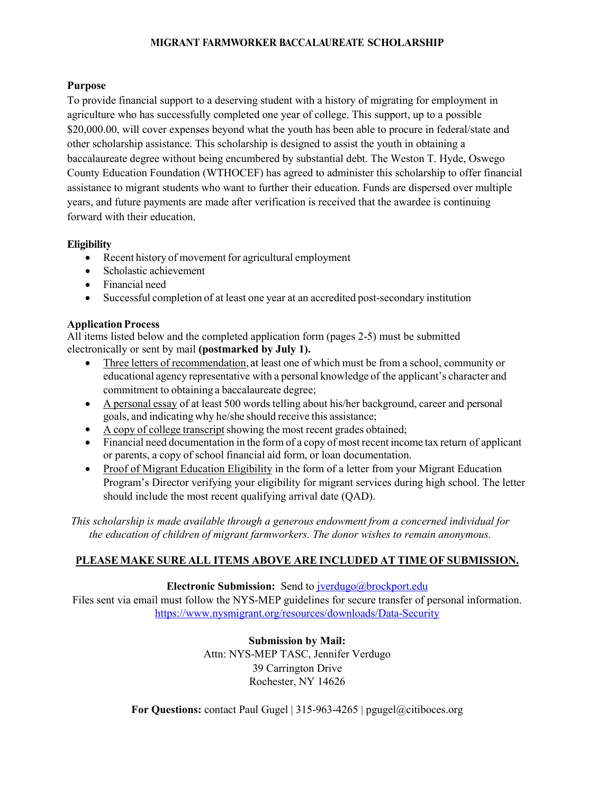### **MIGRANT FARMWORKER BACCALAUREATE SCHOLARSHIP**

## **Purpose**

To provide financial support to a deserving student with a history of migrating for employment in agriculture who has successfully completed one year of college. This support, up to a possible \$20,000.00, will cover expenses beyond what the youth has been able to procure in federal/state and other scholarship assistance. This scholarship is designed to assist the youth in obtaining a baccalaureate degree without being encumbered by substantial debt. The Weston T. Hyde, Oswego County Education Foundation (WTHOCEF) has agreed to administer this scholarship to offer financial assistance to migrant students who want to further their education. Funds are dispersed over multiple years, and future payments are made after verification is received that the awardee is continuing forward with their education.

## **Eligibility**

- Recent history of movement for agricultural employment
- Scholastic achievement
- Financial need
- Successful completion of at least one year at an accredited post-secondary institution

### **Application Process**

All items listed below and the completed application form (pages 2-5) must be submitted electronically or sent by mail **(postmarked by July 1).**

- Three letters of recommendation, at least one of which must be from a school, community or educational agency representative with a personal knowledge of the applicant's character and commitment to obtaining a baccalaureate degree;
- A personal essay of at least 500 words telling about his/her background, career and personal goals, and indicating why he/she should receive this assistance;
- $\bullet$  A copy of college transcript showing the most recent grades obtained;
- Financial need documentation in the form of a copy of most recent income tax return of applicant or parents, a copy of school financial aid form, or loan documentation.
- Proof of Migrant Education Eligibility in the form of a letter from your Migrant Education Program's Director verifying your eligibility for migrant services during high school. The letter should include the most recent qualifying arrival date (QAD).

*This scholarship is made available through a generous endowment from a concerned individual for the education of children of migrant farmworkers. The donor wishes to remain anonymous.*

## **PLEASE MAKE SURE ALL ITEMS ABOVE ARE INCLUDED AT TIME OF SUBMISSION.**

#### **Electronic Submission:** Send to *jverdugo@brockport.edu*

Files sent via email must follow the NYS-MEP guidelines for secure transfer of personal information. <https://www.nysmigrant.org/resources/downloads/Data-Security>

> **Submission by Mail:** Attn: NYS-MEP TASC, Jennifer Verdugo 39 Carrington Drive Rochester, NY 14626

**For Questions:** contact Paul Gugel | 315-963-4265 | pgugel@citiboces.org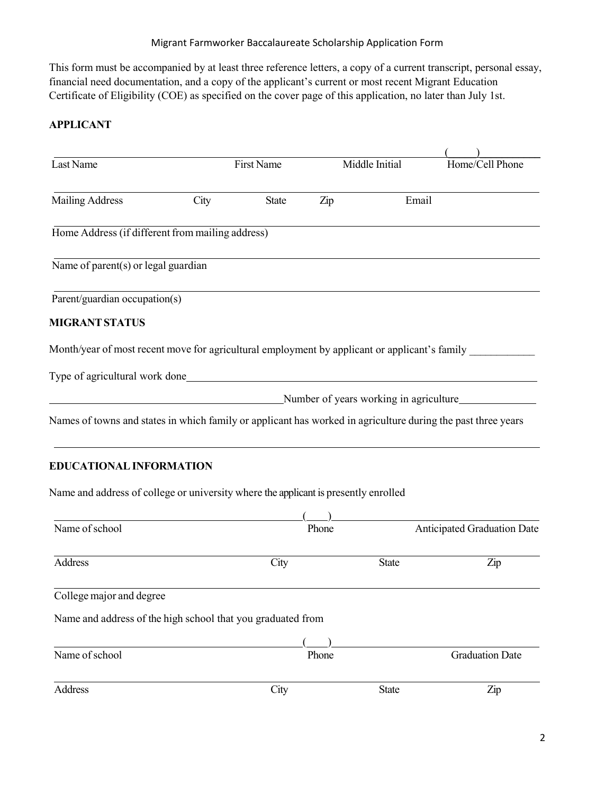This form must be accompanied by at least three reference letters, a copy of a current transcript, personal essay, financial need documentation, and a copy of the applicant's current or most recent Migrant Education Certificate of Eligibility (COE) as specified on the cover page of this application, no later than July 1st.

# **APPLICANT**

| Last Name                                                                                                    |                                                                                                                       | First Name   |       | Middle Initial                         | Home/Cell Phone             |
|--------------------------------------------------------------------------------------------------------------|-----------------------------------------------------------------------------------------------------------------------|--------------|-------|----------------------------------------|-----------------------------|
| <b>Mailing Address</b>                                                                                       | City                                                                                                                  | <b>State</b> | Zip   | Email                                  |                             |
| Home Address (if different from mailing address)                                                             |                                                                                                                       |              |       |                                        |                             |
| Name of parent(s) or legal guardian                                                                          |                                                                                                                       |              |       |                                        |                             |
| Parent/guardian occupation(s)                                                                                |                                                                                                                       |              |       |                                        |                             |
| <b>MIGRANT STATUS</b>                                                                                        |                                                                                                                       |              |       |                                        |                             |
| Month/year of most recent move for agricultural employment by applicant or applicant's family                |                                                                                                                       |              |       |                                        |                             |
|                                                                                                              |                                                                                                                       |              |       |                                        |                             |
|                                                                                                              | <u> 1980 - Johann Barn, mars ann an t-Amhain Aonaichte ann an t-Aonaichte ann an t-Aonaichte ann an t-Aonaichte a</u> |              |       | Number of years working in agriculture |                             |
| Names of towns and states in which family or applicant has worked in agriculture during the past three years |                                                                                                                       |              |       |                                        |                             |
| EDUCATIONAL INFORMATION                                                                                      |                                                                                                                       |              |       |                                        |                             |
| Name and address of college or university where the applicant is presently enrolled                          |                                                                                                                       |              |       |                                        |                             |
| Name of school                                                                                               |                                                                                                                       |              | Phone |                                        | Anticipated Graduation Date |
| Address                                                                                                      |                                                                                                                       | City         |       | <b>State</b>                           | Zip                         |
| College major and degree                                                                                     |                                                                                                                       |              |       |                                        |                             |
| Name and address of the high school that you graduated from                                                  |                                                                                                                       |              |       |                                        |                             |
|                                                                                                              |                                                                                                                       |              |       |                                        |                             |
| Name of school                                                                                               |                                                                                                                       |              | Phone |                                        | <b>Graduation Date</b>      |
|                                                                                                              |                                                                                                                       |              |       |                                        |                             |

Address City State Zip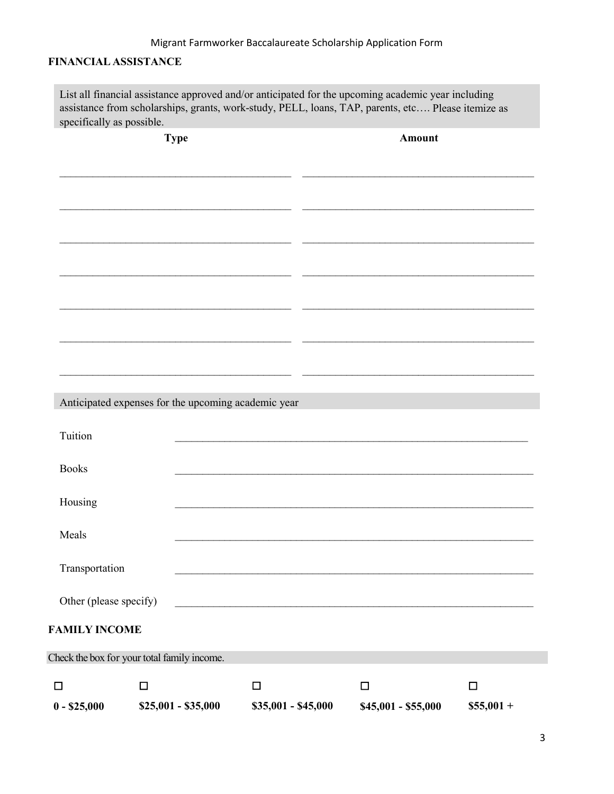# **FINANCIAL ASSISTANCE**

List all financial assistance approved and/or anticipated for the upcoming academic year including assistance from scholarships, grants, work-study, PELL, loans, TAP, parents, etc…. Please itemize as specifically as possible.

| <b>Type</b>            |                                                     |                     | <b>Amount</b> |                     |            |  |
|------------------------|-----------------------------------------------------|---------------------|---------------|---------------------|------------|--|
|                        |                                                     |                     |               |                     |            |  |
|                        |                                                     |                     |               |                     |            |  |
|                        |                                                     |                     |               |                     |            |  |
|                        |                                                     |                     |               |                     |            |  |
|                        |                                                     |                     |               |                     |            |  |
|                        |                                                     |                     |               |                     |            |  |
|                        |                                                     |                     |               |                     |            |  |
|                        |                                                     |                     |               |                     |            |  |
|                        |                                                     |                     |               |                     |            |  |
|                        |                                                     |                     |               |                     |            |  |
|                        | Anticipated expenses for the upcoming academic year |                     |               |                     |            |  |
| Tuition                |                                                     |                     |               |                     |            |  |
|                        |                                                     |                     |               |                     |            |  |
| <b>Books</b>           |                                                     |                     |               |                     |            |  |
| Housing                |                                                     |                     |               |                     |            |  |
|                        |                                                     |                     |               |                     |            |  |
| Meals                  |                                                     |                     |               |                     |            |  |
| Transportation         |                                                     |                     |               |                     |            |  |
| Other (please specify) |                                                     |                     |               |                     |            |  |
|                        |                                                     |                     |               |                     |            |  |
| <b>FAMILY INCOME</b>   |                                                     |                     |               |                     |            |  |
|                        | Check the box for your total family income.         |                     |               |                     |            |  |
| $\Box$                 | $\Box$                                              | $\Box$              |               | $\Box$              | $\Box$     |  |
| $0 - $25,000$          | $$25,001 - $35,000$                                 | \$35,001 - \$45,000 |               | \$45,001 - \$55,000 | $$55,001+$ |  |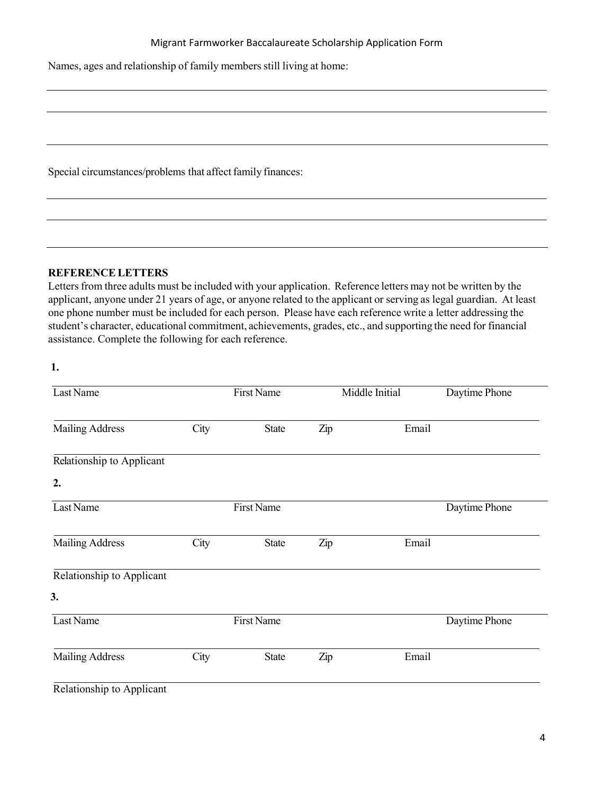Names, ages and relationship of family members still living at home:

Special circumstances/problems that affect family finances:

### **REFERENCELETTERS**

Letters from three adults must be included with your application. Reference letters may not be written by the applicant, anyone under 21 years of age, or anyone related to the applicant or serving as legal guardian. At least one phone number must be included for each person. Please have each reference write a letter addressing the student's character, educational commitment, achievements, grades, etc., and supporting the need for financial assistance. Complete the following for each reference.

**1.**

| Last Name                 |                   | <b>First Name</b> |     | Middle Initial | Daytime Phone |
|---------------------------|-------------------|-------------------|-----|----------------|---------------|
| <b>Mailing Address</b>    | City              | <b>State</b>      | Zip | Email          |               |
| Relationship to Applicant |                   |                   |     |                |               |
| 2.                        |                   |                   |     |                |               |
| Last Name                 |                   | <b>First Name</b> |     |                | Daytime Phone |
| <b>Mailing Address</b>    | City              | <b>State</b>      | Zip | Email          |               |
| Relationship to Applicant |                   |                   |     |                |               |
| 3.                        |                   |                   |     |                |               |
| Last Name                 | <b>First Name</b> |                   |     |                | Daytime Phone |
| <b>Mailing Address</b>    | City              | <b>State</b>      | Zip | Email          |               |
| Relationship to Applicant |                   |                   |     |                |               |